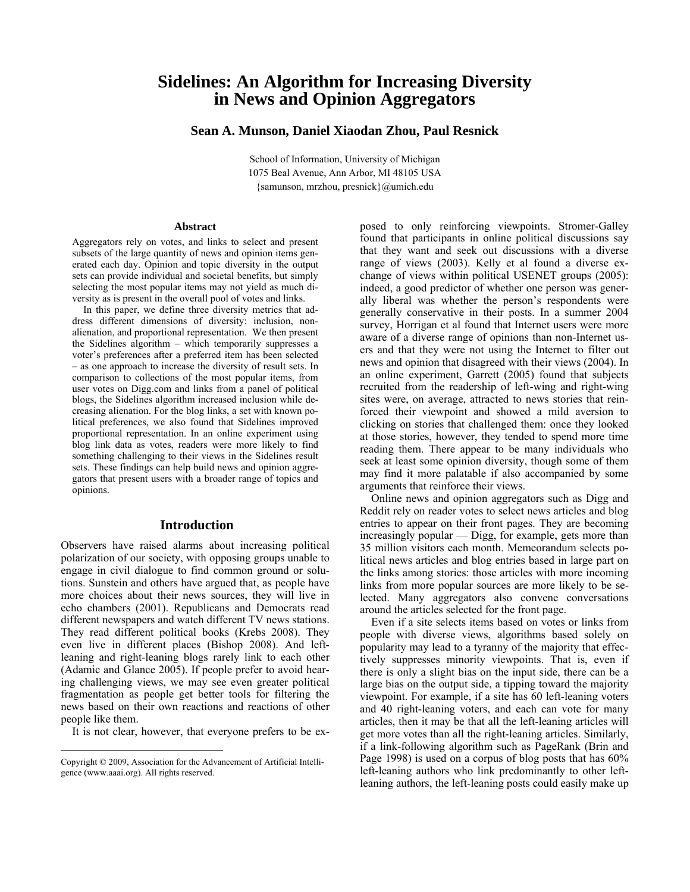# **Sidelines: An Algorithm for Increasing Diversity in News and Opinion Aggregators**

# **Sean A. Munson, Daniel Xiaodan Zhou, Paul Resnick**

School of Information, University of Michigan 1075 Beal Avenue, Ann Arbor, MI 48105 USA {samunson, mrzhou, presnick}@umich.edu

### **Abstract**

Aggregators rely on votes, and links to select and present subsets of the large quantity of news and opinion items generated each day. Opinion and topic diversity in the output sets can provide individual and societal benefits, but simply selecting the most popular items may not yield as much diversity as is present in the overall pool of votes and links.

 In this paper, we define three diversity metrics that address different dimensions of diversity: inclusion, nonalienation, and proportional representation. We then present the Sidelines algorithm – which temporarily suppresses a voter's preferences after a preferred item has been selected – as one approach to increase the diversity of result sets. In comparison to collections of the most popular items, from user votes on Digg.com and links from a panel of political blogs, the Sidelines algorithm increased inclusion while decreasing alienation. For the blog links, a set with known political preferences, we also found that Sidelines improved proportional representation. In an online experiment using blog link data as votes, readers were more likely to find something challenging to their views in the Sidelines result sets. These findings can help build news and opinion aggregators that present users with a broader range of topics and opinions.

# **Introduction**

Observers have raised alarms about increasing political polarization of our society, with opposing groups unable to engage in civil dialogue to find common ground or solutions. Sunstein and others have argued that, as people have more choices about their news sources, they will live in echo chambers (2001). Republicans and Democrats read different newspapers and watch different TV news stations. They read different political books (Krebs 2008). They even live in different places (Bishop 2008). And leftleaning and right-leaning blogs rarely link to each other (Adamic and Glance 2005). If people prefer to avoid hearing challenging views, we may see even greater political fragmentation as people get better tools for filtering the news based on their own reactions and reactions of other people like them.

It is not clear, however, that everyone prefers to be ex-

 $\overline{a}$ 

posed to only reinforcing viewpoints. Stromer-Galley found that participants in online political discussions say that they want and seek out discussions with a diverse range of views (2003). Kelly et al found a diverse exchange of views within political USENET groups (2005): indeed, a good predictor of whether one person was generally liberal was whether the person's respondents were generally conservative in their posts. In a summer 2004 survey, Horrigan et al found that Internet users were more aware of a diverse range of opinions than non-Internet users and that they were not using the Internet to filter out news and opinion that disagreed with their views (2004). In an online experiment, Garrett (2005) found that subjects recruited from the readership of left-wing and right-wing sites were, on average, attracted to news stories that reinforced their viewpoint and showed a mild aversion to clicking on stories that challenged them: once they looked at those stories, however, they tended to spend more time reading them. There appear to be many individuals who seek at least some opinion diversity, though some of them may find it more palatable if also accompanied by some arguments that reinforce their views.

 Online news and opinion aggregators such as Digg and Reddit rely on reader votes to select news articles and blog entries to appear on their front pages. They are becoming increasingly popular — Digg, for example, gets more than 35 million visitors each month. Memeorandum selects political news articles and blog entries based in large part on the links among stories: those articles with more incoming links from more popular sources are more likely to be selected. Many aggregators also convene conversations around the articles selected for the front page.

 Even if a site selects items based on votes or links from people with diverse views, algorithms based solely on popularity may lead to a tyranny of the majority that effectively suppresses minority viewpoints. That is, even if there is only a slight bias on the input side, there can be a large bias on the output side, a tipping toward the majority viewpoint. For example, if a site has 60 left-leaning voters and 40 right-leaning voters, and each can vote for many articles, then it may be that all the left-leaning articles will get more votes than all the right-leaning articles. Similarly, if a link-following algorithm such as PageRank (Brin and Page 1998) is used on a corpus of blog posts that has 60% left-leaning authors who link predominantly to other leftleaning authors, the left-leaning posts could easily make up

Copyright © 2009, Association for the Advancement of Artificial Intelligence (www.aaai.org). All rights reserved.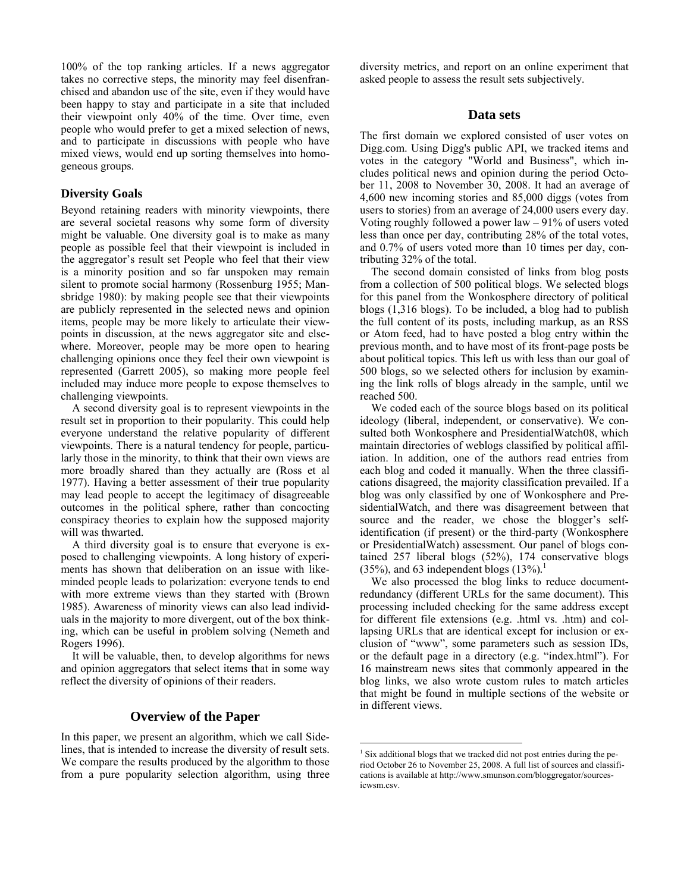100% of the top ranking articles. If a news aggregator takes no corrective steps, the minority may feel disenfranchised and abandon use of the site, even if they would have been happy to stay and participate in a site that included their viewpoint only 40% of the time. Over time, even people who would prefer to get a mixed selection of news, and to participate in discussions with people who have mixed views, would end up sorting themselves into homogeneous groups.

# **Diversity Goals**

Beyond retaining readers with minority viewpoints, there are several societal reasons why some form of diversity might be valuable. One diversity goal is to make as many people as possible feel that their viewpoint is included in the aggregator's result set People who feel that their view is a minority position and so far unspoken may remain silent to promote social harmony (Rossenburg 1955; Mansbridge 1980): by making people see that their viewpoints are publicly represented in the selected news and opinion items, people may be more likely to articulate their viewpoints in discussion, at the news aggregator site and elsewhere. Moreover, people may be more open to hearing challenging opinions once they feel their own viewpoint is represented (Garrett 2005), so making more people feel included may induce more people to expose themselves to challenging viewpoints.

 A second diversity goal is to represent viewpoints in the result set in proportion to their popularity. This could help everyone understand the relative popularity of different viewpoints. There is a natural tendency for people, particularly those in the minority, to think that their own views are more broadly shared than they actually are (Ross et al 1977). Having a better assessment of their true popularity may lead people to accept the legitimacy of disagreeable outcomes in the political sphere, rather than concocting conspiracy theories to explain how the supposed majority will was thwarted.

 A third diversity goal is to ensure that everyone is exposed to challenging viewpoints. A long history of experiments has shown that deliberation on an issue with likeminded people leads to polarization: everyone tends to end with more extreme views than they started with (Brown 1985). Awareness of minority views can also lead individuals in the majority to more divergent, out of the box thinking, which can be useful in problem solving (Nemeth and Rogers 1996).

 It will be valuable, then, to develop algorithms for news and opinion aggregators that select items that in some way reflect the diversity of opinions of their readers.

# **Overview of the Paper**

In this paper, we present an algorithm, which we call Sidelines, that is intended to increase the diversity of result sets. We compare the results produced by the algorithm to those from a pure popularity selection algorithm, using three diversity metrics, and report on an online experiment that asked people to assess the result sets subjectively.

# **Data sets**

The first domain we explored consisted of user votes on Digg.com. Using Digg's public API, we tracked items and votes in the category "World and Business", which includes political news and opinion during the period October 11, 2008 to November 30, 2008. It had an average of 4,600 new incoming stories and 85,000 diggs (votes from users to stories) from an average of 24,000 users every day. Voting roughly followed a power law – 91% of users voted less than once per day, contributing 28% of the total votes, and 0.7% of users voted more than 10 times per day, contributing 32% of the total.

 The second domain consisted of links from blog posts from a collection of 500 political blogs. We selected blogs for this panel from the Wonkosphere directory of political blogs (1,316 blogs). To be included, a blog had to publish the full content of its posts, including markup, as an RSS or Atom feed, had to have posted a blog entry within the previous month, and to have most of its front-page posts be about political topics. This left us with less than our goal of 500 blogs, so we selected others for inclusion by examining the link rolls of blogs already in the sample, until we reached 500.

 We coded each of the source blogs based on its political ideology (liberal, independent, or conservative). We consulted both Wonkosphere and PresidentialWatch08, which maintain directories of weblogs classified by political affiliation. In addition, one of the authors read entries from each blog and coded it manually. When the three classifications disagreed, the majority classification prevailed. If a blog was only classified by one of Wonkosphere and PresidentialWatch, and there was disagreement between that source and the reader, we chose the blogger's selfidentification (if present) or the third-party (Wonkosphere or PresidentialWatch) assessment. Our panel of blogs contained 257 liberal blogs (52%), 174 conservative blogs (35%), and 63 independent blogs (13%)*.* 1

We also processed the blog links to reduce documentredundancy (different URLs for the same document). This processing included checking for the same address except for different file extensions (e.g. .html vs. .htm) and collapsing URLs that are identical except for inclusion or exclusion of "www", some parameters such as session IDs, or the default page in a directory (e.g. "index.html"). For 16 mainstream news sites that commonly appeared in the blog links, we also wrote custom rules to match articles that might be found in multiple sections of the website or in different views.

 $\overline{a}$ 

<sup>&</sup>lt;sup>1</sup> Six additional blogs that we tracked did not post entries during the period October 26 to November 25, 2008. A full list of sources and classifications is available at http://www.smunson.com/bloggregator/sourcesicwsm.csv.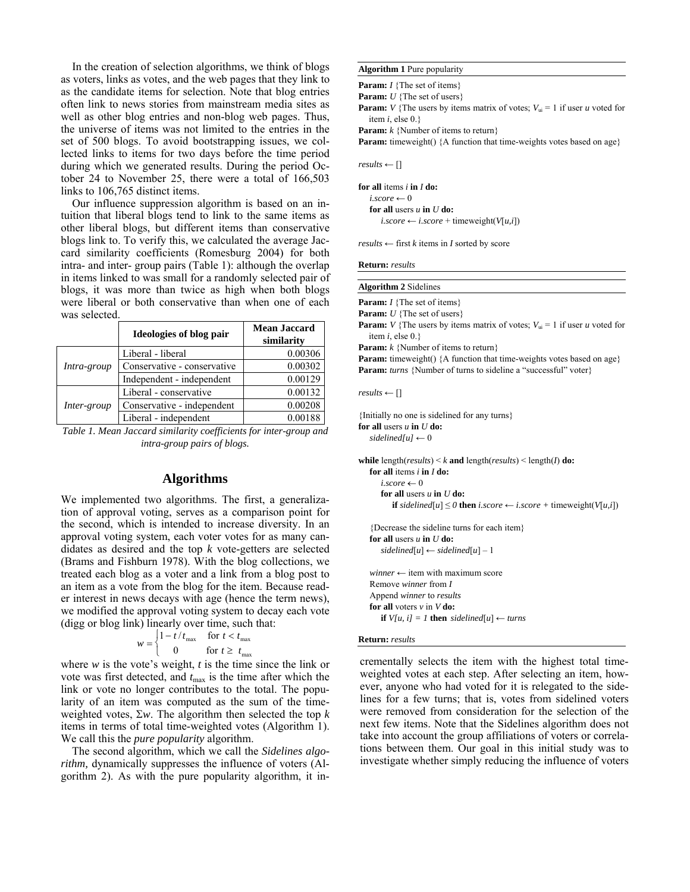In the creation of selection algorithms, we think of blogs as voters, links as votes, and the web pages that they link to as the candidate items for selection. Note that blog entries often link to news stories from mainstream media sites as well as other blog entries and non-blog web pages. Thus, the universe of items was not limited to the entries in the set of 500 blogs. To avoid bootstrapping issues, we collected links to items for two days before the time period during which we generated results. During the period October 24 to November 25, there were a total of 166,503 links to 106,765 distinct items.

 Our influence suppression algorithm is based on an intuition that liberal blogs tend to link to the same items as other liberal blogs, but different items than conservative blogs link to. To verify this, we calculated the average Jaccard similarity coefficients (Romesburg 2004) for both intra- and inter- group pairs (Table 1): although the overlap in items linked to was small for a randomly selected pair of blogs, it was more than twice as high when both blogs were liberal or both conservative than when one of each was selected.

|             | Ideologies of blog pair     | <b>Mean Jaccard</b><br>similarity |
|-------------|-----------------------------|-----------------------------------|
| Intra-group | Liberal - liberal           | 0.00306                           |
|             | Conservative - conservative | 0.00302                           |
|             | Independent - independent   | 0.00129                           |
| Inter-group | Liberal - conservative      | 0.00132                           |
|             | Conservative - independent  | 0.00208                           |
|             | Liberal - independent       | 0.00188                           |

*Table 1. Mean Jaccard similarity coefficients for inter-group and intra-group pairs of blogs.* 

### **Algorithms**

We implemented two algorithms. The first, a generalization of approval voting, serves as a comparison point for the second, which is intended to increase diversity. In an approval voting system, each voter votes for as many candidates as desired and the top *k* vote-getters are selected (Brams and Fishburn 1978). With the blog collections, we treated each blog as a voter and a link from a blog post to an item as a vote from the blog for the item. Because reader interest in news decays with age (hence the term news), we modified the approval voting system to decay each vote (digg or blog link) linearly over time, such that:

$$
w = \begin{cases} 1 - t/t_{\text{max}} & \text{for } t < t_{\text{max}} \\ 0 & \text{for } t \ge t_{\text{max}} \end{cases}
$$

where *w* is the vote's weight, *t* is the time since the link or vote was first detected, and  $t_{\text{max}}$  is the time after which the link or vote no longer contributes to the total. The popularity of an item was computed as the sum of the timeweighted votes, Σ*w*. The algorithm then selected the top *k* items in terms of total time-weighted votes (Algorithm 1). We call this the *pure popularity* algorithm.

 The second algorithm, which we call the *Sidelines algorithm, dynamically suppresses the influence of voters (Al*gorithm 2). As with the pure popularity algorithm, it in-

### **Algorithm 1** Pure popularity

**Param:** *I* {The set of items}

**Param:** *U* {The set of users}

**Param:** *V* {The users by items matrix of votes;  $V_{ui} = 1$  if user *u* voted for item *i*, else 0.}

**Param:** *k* {Number of items to return}

Param: timeweight() {A function that time-weights votes based on age}

 $results \leftarrow \Box$ 

**for all** items *i* **in** *I* **do:**   $i \text{ score} \leftarrow 0$  **for all** users *u* **in** *U* **do:**   $\textit{i.score} \leftarrow \textit{i.score} + \text{timeweight}(V[u,i])$ 

 $results \leftarrow$  first *k* items in *I* sorted by score

**Return:** *results*

**Algorithm 2** Sidelines

**Param:** *I* {The set of items}

**Param:** *U* {The set of users}

**Param:** *V* {The users by items matrix of votes;  $V_{\text{ui}} = 1$  if user *u* voted for item *i*, else 0.}

**Param:** *k* {Number of items to return}

**Param:** timeweight() {A function that time-weights votes based on age} Param: *turns* {Number of turns to sideline a "successful" voter}

 $results \leftarrow \Box$ 

{Initially no one is sidelined for any turns} **for all** users *u* **in** *U* **do:**  $sidelinedful \leftarrow 0$ 

**while** length(*results*) < *k* **and** length(*results*) < length(*I*) **do: for all** items *i* **in** *I* **do:**  $i \text{ score} \leftarrow 0$  **for all** users *u* **in** *U* **do: if** sidelined[u] ≤ 0 **then** *i.score* ← *i.score* + timeweight( $V[u,i]$ )

{Decrease the sideline turns for each item} **for all users**  $u$  **in**  $U$  do:  $sidelined[u] \leftarrow sidelined[u] - 1$ 

*winner* ← item with maximum score Remove *winner* from *I*  Append *winner* to *results*   **for all** voters *v* in *V* **do: if**  $V[u, i] = 1$  **then** sidelined[u]  $\leftarrow$  *turns* 

#### **Return:** *results*

crementally selects the item with the highest total timeweighted votes at each step. After selecting an item, however, anyone who had voted for it is relegated to the sidelines for a few turns; that is, votes from sidelined voters were removed from consideration for the selection of the next few items. Note that the Sidelines algorithm does not take into account the group affiliations of voters or correlations between them. Our goal in this initial study was to investigate whether simply reducing the influence of voters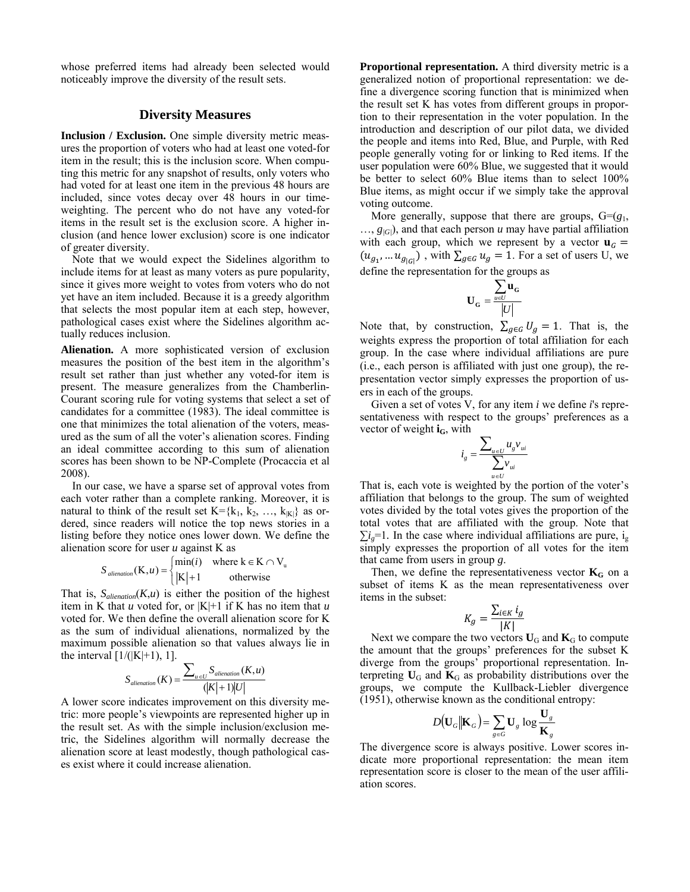whose preferred items had already been selected would noticeably improve the diversity of the result sets.

# **Diversity Measures**

**Inclusion / Exclusion.** One simple diversity metric measures the proportion of voters who had at least one voted-for item in the result; this is the inclusion score. When computing this metric for any snapshot of results, only voters who had voted for at least one item in the previous 48 hours are included, since votes decay over 48 hours in our timeweighting. The percent who do not have any voted-for items in the result set is the exclusion score. A higher inclusion (and hence lower exclusion) score is one indicator of greater diversity.

 Note that we would expect the Sidelines algorithm to include items for at least as many voters as pure popularity, since it gives more weight to votes from voters who do not yet have an item included. Because it is a greedy algorithm that selects the most popular item at each step, however, pathological cases exist where the Sidelines algorithm actually reduces inclusion.

**Alienation.** A more sophisticated version of exclusion measures the position of the best item in the algorithm's result set rather than just whether any voted-for item is present. The measure generalizes from the Chamberlin-Courant scoring rule for voting systems that select a set of candidates for a committee (1983). The ideal committee is one that minimizes the total alienation of the voters, measured as the sum of all the voter's alienation scores. Finding an ideal committee according to this sum of alienation scores has been shown to be NP-Complete (Procaccia et al 2008).

 In our case, we have a sparse set of approval votes from each voter rather than a complete ranking. Moreover, it is natural to think of the result set  $K = \{k_1, k_2, ..., k_{|K|}\}\$  as ordered, since readers will notice the top news stories in a listing before they notice ones lower down. We define the alienation score for user *u* against K as

$$
S_{\text{alienation}}(K, u) = \begin{cases} \min(i) & \text{where } k \in K \cap V_u \\ |K| + 1 & \text{otherwise} \end{cases}
$$

That is,  $S_{\text{alienation}}(K, u)$  is either the position of the highest item in K that  $u$  voted for, or  $|K|+1$  if K has no item that  $u$ voted for. We then define the overall alienation score for K as the sum of individual alienations, normalized by the maximum possible alienation so that values always lie in the interval  $[1/(|K|+1), 1]$ .

$$
S_{\text{alienation}}(K) = \frac{\sum_{u \in U} S_{\text{alienation}}(K, u)}{(|K| + 1)|U|}
$$

A lower score indicates improvement on this diversity metric: more people's viewpoints are represented higher up in the result set. As with the simple inclusion/exclusion metric, the Sidelines algorithm will normally decrease the alienation score at least modestly, though pathological cases exist where it could increase alienation.

**Proportional representation.** A third diversity metric is a generalized notion of proportional representation: we define a divergence scoring function that is minimized when the result set K has votes from different groups in proportion to their representation in the voter population. In the introduction and description of our pilot data, we divided the people and items into Red, Blue, and Purple, with Red people generally voting for or linking to Red items. If the user population were 60% Blue, we suggested that it would be better to select 60% Blue items than to select 100% Blue items, as might occur if we simply take the approval voting outcome.

More generally, suppose that there are groups,  $G = (g_1, g_2)$ …, *g|G|*), and that each person *u* may have partial affiliation with each group, which we represent by a vector  $\mathbf{u}_G =$  $(u_{g_1},...u_{g_{|G|}})$ , with  $\sum_{g \in G} u_g = 1$ . For a set of users U, we define the representation for the groups as

$$
\mathbf{U}_{\mathbf{G}}=\frac{\displaystyle\sum_{\mathbf{u}\in U}\mathbf{u}_{\mathbf{G}}}{\left |U\right |}
$$

Note that, by construction,  $\sum_{g \in G} U_g = 1$ . That is, the weights express the proportion of total affiliation for each group. In the case where individual affiliations are pure (i.e., each person is affiliated with just one group), the representation vector simply expresses the proportion of users in each of the groups.

 Given a set of votes V, for any item *i* we define *i*'s representativeness with respect to the groups' preferences as a vector of weight **i<sub>G</sub>**, with

$$
i_g = \frac{\sum_{u \in U} u_g v_{ui}}{\sum_{u \in U} v_{ui}}
$$

That is, each vote is weighted by the portion of the voter's affiliation that belongs to the group. The sum of weighted votes divided by the total votes gives the proportion of the total votes that are affiliated with the group. Note that  $\sum i_{o}=1$ . In the case where individual affiliations are pure, i<sub>g</sub> simply expresses the proportion of all votes for the item that came from users in group *g*.

Then, we define the representativeness vector  $K_G$  on a subset of items K as the mean representativeness over items in the subset:

$$
K_g = \frac{\sum_{i \in K} i_g}{|K|}
$$

Next we compare the two vectors  $U_G$  and  $K_G$  to compute the amount that the groups' preferences for the subset K diverge from the groups' proportional representation. Interpreting  $U_G$  and  $K_G$  as probability distributions over the groups, we compute the Kullback-Liebler divergence (1951), otherwise known as the conditional entropy:

$$
D(\mathbf{U}_G||\mathbf{K}_G) = \sum_{g \in G} \mathbf{U}_g \log \frac{\mathbf{U}_g}{\mathbf{K}_g}
$$

The divergence score is always positive. Lower scores indicate more proportional representation: the mean item representation score is closer to the mean of the user affiliation scores.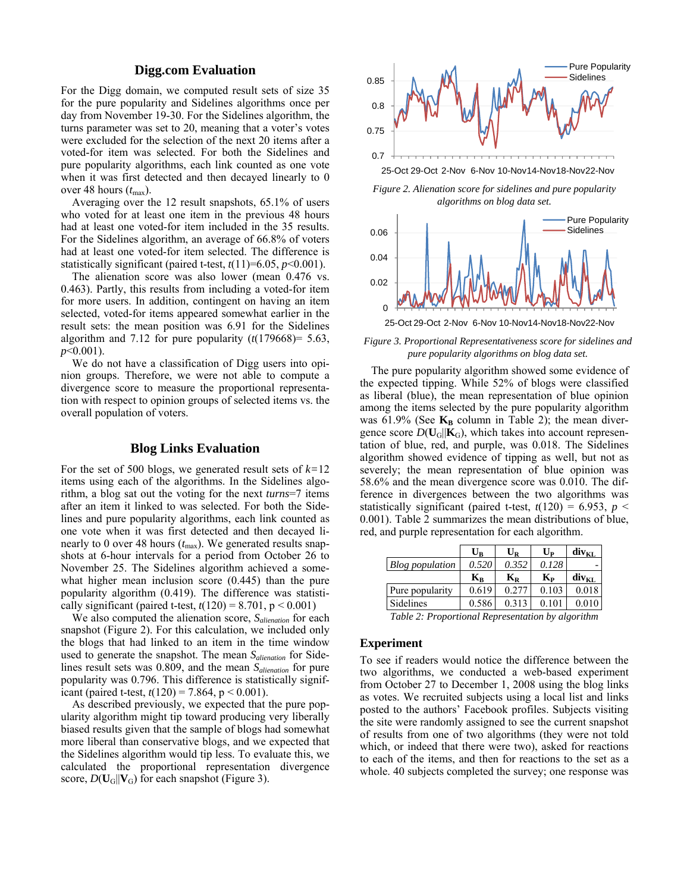# **Digg.com Evaluation**

For the Digg domain, we computed result sets of size 35 for the pure popularity and Sidelines algorithms once per day from November 19-30. For the Sidelines algorithm, the turns parameter was set to 20, meaning that a voter's votes were excluded for the selection of the next 20 items after a voted-for item was selected. For both the Sidelines and pure popularity algorithms, each link counted as one vote when it was first detected and then decayed linearly to 0 over 48 hours  $(t_{\text{max}})$ .

 Averaging over the 12 result snapshots, 65.1% of users who voted for at least one item in the previous 48 hours had at least one voted-for item included in the 35 results. For the Sidelines algorithm, an average of 66.8% of voters had at least one voted-for item selected. The difference is statistically significant (paired t-test,  $t(11)=6.05$ ,  $p<0.001$ ).

 The alienation score was also lower (mean 0.476 vs. 0.463). Partly, this results from including a voted-for item for more users. In addition, contingent on having an item selected, voted-for items appeared somewhat earlier in the result sets: the mean position was 6.91 for the Sidelines algorithm and 7.12 for pure popularity  $(t(179668)=5.63$ , *p*<0.001).

 We do not have a classification of Digg users into opinion groups. Therefore, we were not able to compute a divergence score to measure the proportional representation with respect to opinion groups of selected items vs. the overall population of voters.

# **Blog Links Evaluation**

For the set of 500 blogs, we generated result sets of *k=*12 items using each of the algorithms. In the Sidelines algorithm, a blog sat out the voting for the next *turns*=7 items after an item it linked to was selected. For both the Sidelines and pure popularity algorithms, each link counted as one vote when it was first detected and then decayed linearly to 0 over 48 hours  $(t_{\text{max}})$ . We generated results snapshots at 6-hour intervals for a period from October 26 to November 25. The Sidelines algorithm achieved a somewhat higher mean inclusion score (0.445) than the pure popularity algorithm (0.419). The difference was statistically significant (paired t-test,  $t(120) = 8.701$ ,  $p < 0.001$ )

 We also computed the alienation score, *Salienation* for each snapshot (Figure 2). For this calculation, we included only the blogs that had linked to an item in the time window used to generate the snapshot. The mean *Salienation* for Sidelines result sets was 0.809, and the mean *Salienation* for pure popularity was 0.796. This difference is statistically significant (paired t-test,  $t(120) = 7.864$ ,  $p < 0.001$ ).

 As described previously, we expected that the pure popularity algorithm might tip toward producing very liberally biased results given that the sample of blogs had somewhat more liberal than conservative blogs, and we expected that the Sidelines algorithm would tip less. To evaluate this, we calculated the proportional representation divergence score,  $D(U_G||V_G)$  for each snapshot (Figure 3).



*Figure 2. Alienation score for sidelines and pure popularity algorithms on blog data set.* 



*Figure 3. Proportional Representativeness score for sidelines and pure popularity algorithms on blog data set.* 

 The pure popularity algorithm showed some evidence of the expected tipping. While 52% of blogs were classified as liberal (blue), the mean representation of blue opinion among the items selected by the pure popularity algorithm was  $61.9\%$  (See  $K_B$  column in Table 2); the mean divergence score  $D(U_G||K_G)$ , which takes into account representation of blue, red, and purple, was 0.018. The Sidelines algorithm showed evidence of tipping as well, but not as severely; the mean representation of blue opinion was 58.6% and the mean divergence score was 0.010. The difference in divergences between the two algorithms was statistically significant (paired t-test,  $t(120) = 6.953$ ,  $p <$ 0.001). Table 2 summarizes the mean distributions of blue, red, and purple representation for each algorithm.

|                        | $\mathbf{U}_\mathbf{R}$   | $\mathbf{U}_\mathbf{R}$   | $U_{\rm P}$ | $div_{\text{KL}}$ |
|------------------------|---------------------------|---------------------------|-------------|-------------------|
| <b>Blog</b> population | 0.520                     | 0.352                     | 0.128       |                   |
|                        | $\mathbf{K}_{\mathbf{R}}$ | $\mathbf{K}_{\mathbf{R}}$ | $K_{\rm P}$ | $div_{\text{KL}}$ |
| Pure popularity        | 0.619                     | 0.277                     | 0.103       | 0.018             |
| Sidelines              | 0.586                     | 0.313                     | 0.101       | 0.010             |
| T11A <sub>n</sub>      |                           |                           |             |                   |

*Table 2: Proportional Representation by algorithm* 

### **Experiment**

To see if readers would notice the difference between the two algorithms, we conducted a web-based experiment from October 27 to December 1, 2008 using the blog links as votes. We recruited subjects using a local list and links posted to the authors' Facebook profiles. Subjects visiting the site were randomly assigned to see the current snapshot of results from one of two algorithms (they were not told which, or indeed that there were two), asked for reactions to each of the items, and then for reactions to the set as a whole. 40 subjects completed the survey; one response was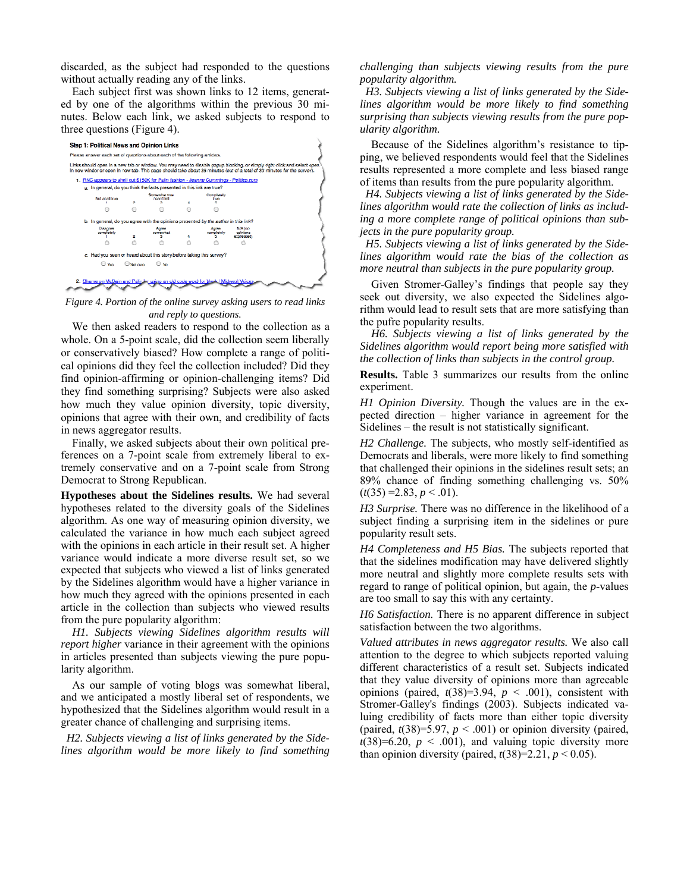discarded, as the subject had responded to the questions without actually reading any of the links.

 Each subject first was shown links to 12 items, generated by one of the algorithms within the previous 30 minutes. Below each link, we asked subjects to respond to three questions (Figure 4).



*Figure 4. Portion of the online survey asking users to read links and reply to questions.* 

 We then asked readers to respond to the collection as a whole. On a 5-point scale, did the collection seem liberally or conservatively biased? How complete a range of political opinions did they feel the collection included? Did they find opinion-affirming or opinion-challenging items? Did they find something surprising? Subjects were also asked how much they value opinion diversity, topic diversity, opinions that agree with their own, and credibility of facts in news aggregator results.

 Finally, we asked subjects about their own political preferences on a 7-point scale from extremely liberal to extremely conservative and on a 7-point scale from Strong Democrat to Strong Republican.

**Hypotheses about the Sidelines results.** We had several hypotheses related to the diversity goals of the Sidelines algorithm. As one way of measuring opinion diversity, we calculated the variance in how much each subject agreed with the opinions in each article in their result set. A higher variance would indicate a more diverse result set, so we expected that subjects who viewed a list of links generated by the Sidelines algorithm would have a higher variance in how much they agreed with the opinions presented in each article in the collection than subjects who viewed results from the pure popularity algorithm:

*H1. Subjects viewing Sidelines algorithm results will report higher* variance in their agreement with the opinions in articles presented than subjects viewing the pure popularity algorithm.

 As our sample of voting blogs was somewhat liberal, and we anticipated a mostly liberal set of respondents, we hypothesized that the Sidelines algorithm would result in a greater chance of challenging and surprising items.

 *H2. Subjects viewing a list of links generated by the Sidelines algorithm would be more likely to find something*  *challenging than subjects viewing results from the pure popularity algorithm.* 

 *H3. Subjects viewing a list of links generated by the Sidelines algorithm would be more likely to find something surprising than subjects viewing results from the pure popularity algorithm.* 

Because of the Sidelines algorithm's resistance to tipping, we believed respondents would feel that the Sidelines results represented a more complete and less biased range of items than results from the pure popularity algorithm.

 *H4. Subjects viewing a list of links generated by the Sidelines algorithm would rate the collection of links as including a more complete range of political opinions than subjects in the pure popularity group.* 

 *H5. Subjects viewing a list of links generated by the Sidelines algorithm would rate the bias of the collection as more neutral than subjects in the pure popularity group.* 

Given Stromer-Galley's findings that people say they seek out diversity, we also expected the Sidelines algorithm would lead to result sets that are more satisfying than the pufre popularity results.

*H6. Subjects viewing a list of links generated by the Sidelines algorithm would report being more satisfied with the collection of links than subjects in the control group.* 

**Results.** Table 3 summarizes our results from the online experiment.

*H1 Opinion Diversity.* Though the values are in the expected direction – higher variance in agreement for the Sidelines – the result is not statistically significant.

*H2 Challenge.* The subjects, who mostly self-identified as Democrats and liberals, were more likely to find something that challenged their opinions in the sidelines result sets; an 89% chance of finding something challenging vs. 50%  $(t(35) = 2.83, p < 0.01$ .

*H3 Surprise.* There was no difference in the likelihood of a subject finding a surprising item in the sidelines or pure popularity result sets.

*H4 Completeness and H5 Bias.* The subjects reported that that the sidelines modification may have delivered slightly more neutral and slightly more complete results sets with regard to range of political opinion, but again, the *p*-values are too small to say this with any certainty.

*H6 Satisfaction.* There is no apparent difference in subject satisfaction between the two algorithms.

*Valued attributes in news aggregator results.* We also call attention to the degree to which subjects reported valuing different characteristics of a result set. Subjects indicated that they value diversity of opinions more than agreeable opinions (paired,  $t(38)=3.94$ ,  $p < .001$ ), consistent with Stromer-Galley's findings (2003). Subjects indicated valuing credibility of facts more than either topic diversity (paired,  $t(38)=5.97$ ,  $p < .001$ ) or opinion diversity (paired,  $t(38)=6.20$ ,  $p < .001$ ), and valuing topic diversity more than opinion diversity (paired,  $t(38)=2.21$ ,  $p < 0.05$ ).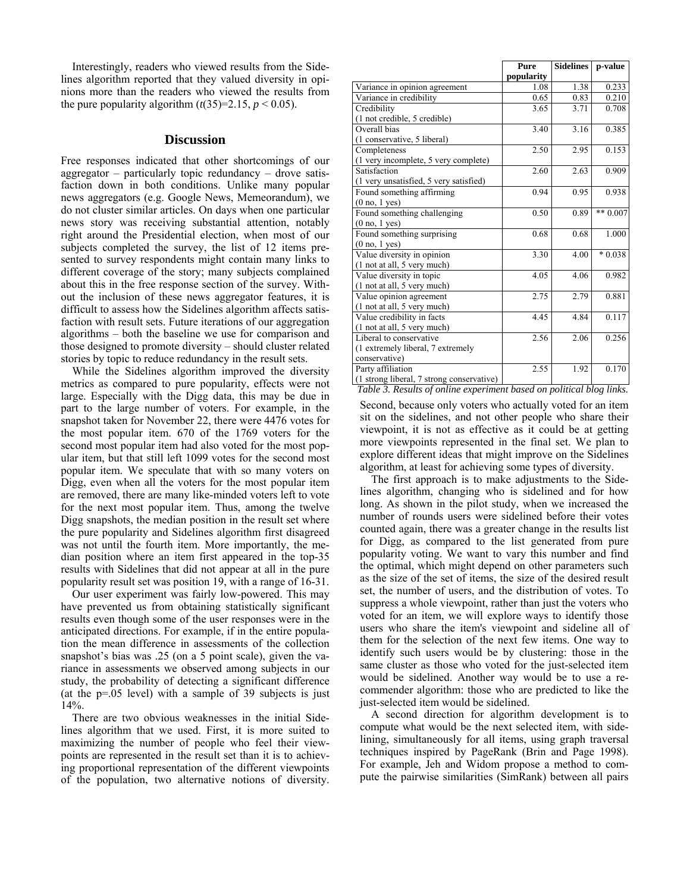Interestingly, readers who viewed results from the Sidelines algorithm reported that they valued diversity in opinions more than the readers who viewed the results from the pure popularity algorithm  $(t(35)=2.15, p \le 0.05)$ .

### **Discussion**

Free responses indicated that other shortcomings of our aggregator – particularly topic redundancy – drove satisfaction down in both conditions. Unlike many popular news aggregators (e.g. Google News, Memeorandum), we do not cluster similar articles. On days when one particular news story was receiving substantial attention, notably right around the Presidential election, when most of our subjects completed the survey, the list of 12 items presented to survey respondents might contain many links to different coverage of the story; many subjects complained about this in the free response section of the survey. Without the inclusion of these news aggregator features, it is difficult to assess how the Sidelines algorithm affects satisfaction with result sets. Future iterations of our aggregation algorithms – both the baseline we use for comparison and those designed to promote diversity – should cluster related stories by topic to reduce redundancy in the result sets.

 While the Sidelines algorithm improved the diversity metrics as compared to pure popularity, effects were not large. Especially with the Digg data, this may be due in part to the large number of voters. For example, in the snapshot taken for November 22, there were 4476 votes for the most popular item. 670 of the 1769 voters for the second most popular item had also voted for the most popular item, but that still left 1099 votes for the second most popular item. We speculate that with so many voters on Digg, even when all the voters for the most popular item are removed, there are many like-minded voters left to vote for the next most popular item. Thus, among the twelve Digg snapshots, the median position in the result set where the pure popularity and Sidelines algorithm first disagreed was not until the fourth item. More importantly, the median position where an item first appeared in the top-35 results with Sidelines that did not appear at all in the pure popularity result set was position 19, with a range of 16-31.

 Our user experiment was fairly low-powered. This may have prevented us from obtaining statistically significant results even though some of the user responses were in the anticipated directions. For example, if in the entire population the mean difference in assessments of the collection snapshot's bias was .25 (on a 5 point scale), given the variance in assessments we observed among subjects in our study, the probability of detecting a significant difference (at the p=.05 level) with a sample of 39 subjects is just  $14%$ 

 There are two obvious weaknesses in the initial Sidelines algorithm that we used. First, it is more suited to maximizing the number of people who feel their viewpoints are represented in the result set than it is to achieving proportional representation of the different viewpoints of the population, two alternative notions of diversity.

|                                                                      | Pure       | <b>Sidelines</b> | p-value    |  |  |
|----------------------------------------------------------------------|------------|------------------|------------|--|--|
|                                                                      | popularity |                  |            |  |  |
| Variance in opinion agreement                                        | 1.08       | 1.38             | 0.233      |  |  |
| Variance in credibility                                              | 0.65       | 0.83             | 0.210      |  |  |
| Credibility                                                          | 3.65       | 3.71             | 0.708      |  |  |
| (1 not credible, 5 credible)                                         |            |                  |            |  |  |
| Overall bias                                                         | 3.40       | 3.16             | 0.385      |  |  |
| (1 conservative, 5 liberal)                                          |            |                  |            |  |  |
| Completeness                                                         | 2.50       | 2.95             | 0.153      |  |  |
| (1 very incomplete, 5 very complete)                                 |            |                  |            |  |  |
| Satisfaction                                                         | 2.60       | 2.63             | 0.909      |  |  |
| (1 very unsatisfied, 5 very satisfied)                               |            |                  |            |  |  |
| Found something affirming                                            | 0.94       | 0.95             | 0.938      |  |  |
| (0 no, 1 yes)                                                        |            |                  |            |  |  |
| Found something challenging                                          | 0.50       | 0.89             | ** $0.007$ |  |  |
| (0 no, 1 yes)                                                        |            |                  |            |  |  |
| Found something surprising                                           | 0.68       | 0.68             | 1.000      |  |  |
| (0 no, 1 yes)                                                        |            |                  |            |  |  |
| Value diversity in opinion                                           | 3.30       | 4.00             | $*0.038$   |  |  |
| (1 not at all, 5 very much)                                          |            |                  |            |  |  |
| Value diversity in topic                                             | 4.05       | 4.06             | 0.982      |  |  |
| (1 not at all, 5 very much)                                          |            |                  |            |  |  |
| Value opinion agreement                                              | 2.75       | 2.79             | 0.881      |  |  |
| (1 not at all, 5 very much)                                          |            |                  |            |  |  |
| Value credibility in facts                                           | 4.45       | 4.84             | 0.117      |  |  |
| (1 not at all, 5 very much)                                          |            |                  |            |  |  |
| Liberal to conservative                                              | 2.56       | 2.06             | 0.256      |  |  |
| (1 extremely liberal, 7 extremely                                    |            |                  |            |  |  |
| conservative)                                                        |            |                  |            |  |  |
| Party affiliation                                                    | 2.55       | 1.92             | 0.170      |  |  |
| (1 strong liberal, 7 strong conservative)                            |            |                  |            |  |  |
| Table 3. Results of online experiment based on political blog links. |            |                  |            |  |  |

Second, because only voters who actually voted for an item sit on the sidelines, and not other people who share their viewpoint, it is not as effective as it could be at getting more viewpoints represented in the final set. We plan to explore different ideas that might improve on the Sidelines algorithm, at least for achieving some types of diversity.

 The first approach is to make adjustments to the Sidelines algorithm, changing who is sidelined and for how long. As shown in the pilot study, when we increased the number of rounds users were sidelined before their votes counted again, there was a greater change in the results list for Digg, as compared to the list generated from pure popularity voting. We want to vary this number and find the optimal, which might depend on other parameters such as the size of the set of items, the size of the desired result set, the number of users, and the distribution of votes. To suppress a whole viewpoint, rather than just the voters who voted for an item, we will explore ways to identify those users who share the item's viewpoint and sideline all of them for the selection of the next few items. One way to identify such users would be by clustering: those in the same cluster as those who voted for the just-selected item would be sidelined. Another way would be to use a recommender algorithm: those who are predicted to like the just-selected item would be sidelined.

 A second direction for algorithm development is to compute what would be the next selected item, with sidelining, simultaneously for all items, using graph traversal techniques inspired by PageRank (Brin and Page 1998). For example, Jeh and Widom propose a method to compute the pairwise similarities (SimRank) between all pairs